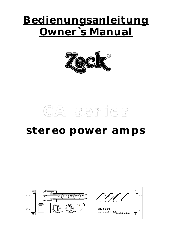# Bedienungsanleitung **Owner`s Manual**



# **CA series**

# **stereo power amps**

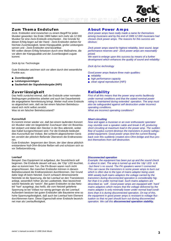

## **Zum Thema Endstufen**

Zeck- Endstufen sind inzwischen zu einem Begriff für jeden Musiker geworden: bis Ende 1989 hatten sich mehr als 12 000 Musiker für eine Zeck-Endstufe entschieden . Die Gründe für diesen Erfolg liegen auf der Hand - Zeck-Endstufen stehen für höchste Zuverlässigkeit, beste Klangqualität, große Leistungsreserven und - Zeck-Endstufen sind bezahlbar.

Wir wollen diesen Erfolg fortsetzen durch eine Maßnahme, die vor allem der Klangqualität und der Zuverlässigkeit zugute kommt:

#### Zeck dy loc-Technologie

Gute Endstufen zeichnen sich vor allem durch drei wesentliche Punkte aus:

- $\bullet$  Zuverlässigkeit
- **L e i s t u n g s v e r m ö g e n**
- **Sauberkeit der Signalwiedergabe (HiFi)**

#### **Z u v e r l ä s s i g k e i t**

Das heißt zunächst einmal, daß die Endstufe unter normalen Bedingungen problemlos arbeitet und auch bei Dauerbetrieb die angegebene Nennleistung bringt. Weiter muß eine Endstufe so abgesichert sein, daß sie bei einem falschen Betriebszustand sich nicht selbst zerstört.

Was ist ein falscher Betriebszustand?

#### **Kurzschluß**

Es kommt immer wieder vor, daß bei einem laufenden Konzert ein Musiker oder ein begeisterter Zuschauer über ein Boxenkabel stolpert und dabei den Stecker in der Box abknickt, wobei das Kabel kurzgeschlossen wird. Für die Endstufe bedeutet dies Kurzschluß bei Vollast. Bei schlecht abgesicherten Geräten zerstört der plötzlich fließende Überstrom die Endtransistoren.

Gute Endstufen begrenzen den Strom, der über diese plötzlich entstandene Null-Ohm-Brücke fließen will und schützen sich so vor Selbstzerstörung.

#### **Leerlauf**

Beispiel: Das Equipment ist aufgebaut, der Soundcheck soll beginnen. Die Endstufe steuert voll aus, die 'Clip' LED leuchtet, aber es kommt kein Ton. Die PA-Boxen waren noch nicht angeschlossen. Bei manchen Endstufen können in diesem Betriebszustand die Endtransistoren durchbrennen. Der Grund dafür liegt oft beim Netzteil. Durch schwach dimensionierte Netzteile ist die Spannung, die bei Leerlauf an den Transistoren anliegt, wesentlich höher als bei Lastbetrieb. Man bezeichnet solche Netzteile als "weich". Bei guten Endstufen ist das Netzteil "hart" ausgelegt, das heißt, die vom Netzteil gelieferte Spannung ist bei Vollast nur wenig geringer als bei Leerlauf. Außerdem besitzen bei guten Endstufen alle Bausteine eine so hohe Spannungsfestigkeit, daß auch bei Leerlauf kein Element durchbrennen kann. Diese Eigenschaft einer Endstufe bezeichnet man als Leerlauffestigkeit.

## **About Power Amps**

*Zeck power amps have really made a name for themselves among musicians and by the end of 1989 12 000 musicians had chosen Zeck power amps. The reasons for this success are* obvious:

*Zeck power amps stand for highest reliability, best sound, large performance reserves and \_Zeck power amps are reasonably priced.* 

*We want to enlarge upon this success by means of a further development which enhances the quality of sound and reliability:*

#### *Zeck* dy loc*-technology*

*Good power amps feature three main qualities:*

- **•** *reliability*
- *high performance capacity*
- *clean signal reproduction (HiFi)*

### **Reliability**

*First of all this means that the power amp works faultlessly under normal conditions and that the stated nominal power rating is maintained during extended operation. The amp must also be safeguarded against self destruction under incorrect operating conditions.*

*What are incorrect operating conditions?*

#### *Short circuiting*

*Now and again a musician or an over enthusiastic spectator may stumble over a speaker cable and break it off, producing short circuiting at maximum load in the power amp. The sudden flow of surplus current destroys the transistors in poorly safeguarded equipment. Good power amps limit the current flowing back over this suddenly created zero-Ohm-bridge and thus protect themselves from self destruction.*

#### *Disconnected operation*

*Example: the equipment has been put up and the sound check is about to start. The amp is turned up and the 'clip' LED is lit \_ but there´s no sound. The PA speakers weren´t connected. This can cause the transistors in some power amps to burn out which is often due to the type of mains adaptor being used. With weakly built mains adaptors the voltage carried by the transistors during disconnected operation is considerably higher than it is under normal load. Such mains adaptors are described as `soft´. Good power amps are equipped with `hard´ mains adaptors which means that the voltage delivered by the mains adaptor is only minimally lower under normal load conditions than it is during disconnected operation. On top of this, the equipment in good power amps is resistant to voltage fluctuation so that no part should burn out during disconnected operation. We call this disconnected operation stability.*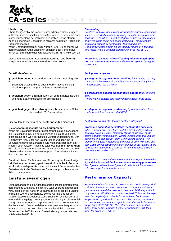

#### **Überhitzung**

Überhitzungsprobleme können unter extremen Bedingungen auftreten. Zum Beispiel bei Open-Air-Konzerten, wenn die Endstufen stundenlang bei Vollast in der prallen Sonne stehen. Auch bei mehreren Endstufen in schlecht belüfteten Racks sind Probleme möglich.

Wenn Endtransistoren zu heiß werden (110 °C und mehr); werden sie zerstört. Gute Endstufen schalten über Temperaturfühler bei Erreichen eines Grenzwertes (z.B. 85 °C) die Last ab.

Diesen drei Gefahren –**Kurzschluß**, **Leerlauf** und **Überhitzung**– muß eine gute Endstufe widerstehen können.

#### **Zeck-Endstufen** sind

- **gesichert gegen Kurzschluß** durch eine schnell eingreifende
	- Strombegrenzung, die es auch möglich macht, beliebig niedrige Impedanzen (bis 2 Ohm) anzuschließen.
- **gesichert gegen Leerlauf** durch ein extrem hartes Netzteil und hohe Spannungsfestigkeit aller Bauteile.
- gesichert gegen Überhitzung durch Temperaturmeßfühler, die oberhalb 85°C abschalten.

Eine weitere Sicherung ist bei **Zeck-Endstufen** eingebaut:

#### **Gleichspannungsschutz für die Lautsprecher.**

Wenn ein Leistungstransistor durchbrennt, steigt am Ausgang die Gleichspannung, die normalerweise bei ca. 0 Volt steht, plötzlich auf den Wert der Netzteil-Versorgungsspannung. Der Gleichstrom fließt über den Lautsprecher und kann ihn in Sekundenbruchteilen zerstören. Die Membran sitzt dann am inneren oder äußeren Anschlag total fest. Bei **Zeck-Endstufen** wird die Gleichspannung am Ausgang ständig überwacht. Beim Überschreiten eines Grenzwertes (+/– 1V) schaltet ein Relais die Lautsprecher ab.

Da wir all diesen Maßnahmen zur Sicherung der Zuverlässigkeit Vertrauen schenken, gewähren wir für alle **Zeck-Endstufen 2 Jahre Vollgarantie**. Innerhalb dieser 2 Jahre werden bei Defekten sämtliche Geräte ohne Berechnung von Material und Arbeitszeit repariert.

#### **Leistungsvermögen**

Leistungsangaben bei Endstufen sollten kritisch betrachtet werden. Manche Endstufe, die mit 400 Watt Leistung angegeben wird, stellt sich bei näherer Betrachtung als billige HiFi-Endstufe mit 2 x 100 W sinus heraus. Solche Geräte sind für den Musiker absolut ungeeignet. Zeck-Endstufen sind für den Bühnenbetrieb ausgelegt. Die angegebene Leistung ist die Nennleistung (=Sinus-Dauerleistung), das heißt, diese Leistung macht die Endstufe im Dauerbetrieb über das gesamte Frequenzspektrum von 20–20 000 Hz. Diese Angabe ist wichtig, da viele Endstufen bei 1000 Hz eine höhere Leistung bringen als beispielsweise bei 60 Hz.

#### *Overheating*

*Problems with overheating can occur under extreme conditions such as extended exposure to strong sunlight during open-airconcerts. Even when a number of power amps are being used, badly ventilated racks can cause problems. Transistors are destroyed when they get too hot (110°C and more). Good power amps switch off the load by means of a temperature feeler when it reaches a particular level (eg. 85°C).*

*These three dangers –short circuiting, disconnected operation and overheating must be safeguarded against by a good power amp.*

*Zeck power amps are:* 

- *safeguarded against short circuiting by a rapidly reacting current limiter which also facilitates connection of any lower impedances (eg. 2 Ohms).*
- *safeguarded against disconnected operation by an extremely*

*hard mains adaptor and high voltage stability in all parts.*

● *safeguarded against overheating by a temperature feeler which switches the amp off at 85°C.*

*Zeck power amps also feature another safeguard:*

*protection against direct voltage reaching the speakers. When a power transistor burns out the direct voltage, which is normally around 0 Volts, suddenly climbs to the level of the mains adaptor voltage supply. Direct voltage flows through the speakers and can destroy them within a split second. The membrane is totally frozen into the inner or outer vibration position. Zeck power amps constantly monitor direct voltage at the outputs and as soon as a level of +/– 1V is reached a relay switches the speakers off.*

*We put a lot of trust in these measures for safeguarding reliability and this is why all Zeck power amps are fully guaranteed for 2 years. Within these 2 years all defects will be repaired with no charge for materials or time.*

## **Performance Capacity**

*Statements of performance in power amps should be regarded critically. Some amps which are stated to produce 400 Watt performance reveal themselves to be cheap Hi Fi amps which only produce 100 Watts on continuous load. This sort of equipment is completely unsuitable for musicians. Zeck power amps are designed for live operation. The stated performance or continuous performance capacity over the whole frequency range from 20-20 000 Hz. This information is important as many power amps produce higher performance at 1000 Hz than, for example at 60 Hz.*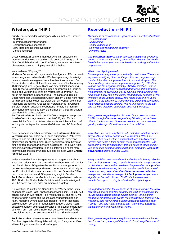

# **Wiedergabe (HiFi)**

Für die Sauberkeit der Wiedergabe gibt es mehrere Kriterien: -Klirrfaktor

- -Intermodulationsverzerrungen
- -Geräuschspannungsabstand
- -Slew-Rate und Rechteckverhalten
- -Dämpfungsfaktor

Unter **Klirrfaktor** versteht man den Anteil an zusätzlichen Obertönen, den eine Verstärkerstufe dem Originalsignal hinzufügt. Deutlich hörbar wird der Klirrfaktor, wenn ein Verstärker übersteuert, also im "Clipping"-Bereich arbeitet.

#### Was bedeutet "Clipping?"

Moderne Endstufen sind symmetrisch aufgebaut. Für die positive und negative Halbwelle des Wechselspannungs-Musiksignales ist jeweils ein eigener Verstärkerblock vorhanden. Der Block für die positive Halbwelle wird von einer Gleichspannung +UB versorgt, der Negativ-Block von einer Gleichspannung –UB. Diese Versorgungsspannungen begrenzen die Sinusleistung des Verstärkers. Wird ein Verstärker überfordert -z.B. durch ein zu hohes Eingangssignal - so kann er durch die Begrenzung der Betriebsspannungen diesem Signal nicht mehr völlig proportional folgen. Es ergibt sich ein Verlauf wie in der Abbildung dargestellt. Arbeitet der Verstärker so im Clipping-Bereich, werden zusätzliche Obertöne hörbar, die man als unangenehm empfindet, bzw. die bei hohem Verzerrungsgrad das Klangbild völlig zerstören.

Bei **Zeck-Endstufen** bleibt der Klirrfaktor im gesamten proportionalen Verstärkungsbereich unter 0,05 %, also für das menschliche Ohr nicht hörbar. Man sollte auch bedenken, daß selbst gute Lautsprecherboxen Klirrfaktoren von 2-3 % aufweisen.

Eine Schwäche mancher Verstärker sind **Intermodulationsverzerrungen**. Vor allem bei einfach aufgebauten Röhrenverstärkern sind sie oft deutlich hörbar. Wenn z.B. zwei Töne gleichzeitig im Abstand einer Quint gespielt werden, hört man einen dritten oder sogar mehrere zusätzliche Töne. Den Anteil dieser zusätzlich erzeugten Töne bei Intervallen nennt man Intermodulationsverzerrungen. Sie sind bei allen **Zeck-Endstufen** unter 0,02 %.

Jeder Verstärker kann Störgeräusche erzeugen, die sich als Rauschen oder Brummen bemerkbar machen. Ein Maßstab für den Anteil dieser Störgeräusche am Nutzspannungspegel ist der **Geräuschspannungsabstand**, der unter Berücksichtigung der Empfindlichkeitskurve des menschlichen Ohres die Differenz zwischen Nutz- und Störspannung angibt. Bei allen **Zeck-Endstufen** ist der Geräuschspannungsabstand mehr als 100 dB, das heißt, durch die Endstufe wird dem Musiksignal kein hörbarer Rausch- oder Brummanteil zugefügt.

Ein wichtiger Punkt für die Sauberkeit der Wiedergabe ist die sogenannte **Slew-Rate** (Anstiegsgeschwindigkeit). Sie gibt Aufschluß darüber, wie "schnell" ein Verstärker ist, das heißt, wie sauber er dem gelieferten Wechselspannungssignal folgen kann. Moderne Synthesizer zum Beispiel können Rechteckschwingungen bei allen Frequenzen erzeugen. Diese Rechteckschwingungen beinhalten plötzliche Amplitudenänderungen von +Um auf –Um. Je schneller der Verstärker dieser **Änderung** folgen kann, um so sauberer wird das Signal verstärkt.

**Zeck-Endstufen** haben eine sehr hohe Slew-Rate, die für die Durchsichtigkeit des Klangbildes wichtig ist. "Langsame" Verstärker klingen unsauber und verhangen.

# **Reproduction (Hi Fi)**

*Cleanliness of reproduction is governed by a number of criteria: -Distortion factor -IM distortion*

*-Signal to noise ratio -Slew rate and rectangular behavior -Damping factor*

*The distortion factor is the proportion of additional overtones added to an original signal by an amplifier. This can be clearly heard when an amp is overmodulated or is working in the "clipping" range.*

#### *What does clipping mean?*

*Modern power amps are symmetrically constructed. There is a separate amplifying block for the positive and negative segments of the alternating wave forms in a musical signal. The block for the positive wave segment is supplied by +UB direct voltage and the negative block by –UB direct voltage. These supply voltages limit the nominal performance of the amplifier. If an amplifier is overtaxed, eg. by an input signal which is too high, it can´t fully follow the signal proportionally because of the limitation of the voltage supply. The result is as shown in the diagram. If the amplifier is working in this clipping range additional overtones become audible. This is unpleasant to the ear and the high distortion completely destroys the sound.*

*Zeck power amps keep the distortion factor down to under 0.05% through the whole range of amplification; this is inaudible to the human ear. One must take into account that even good speakers produce distortion factors of 2-3%.*

*A weakness in some amplifiers is IM distortion which is particularly audible in simply constructed valve amps. When, for example, two notes within a musical fifth are simultaneously played, one hears a third or even more additional notes. The proportion of these additionally created notes or tones in intervals is defined as intermodulational or IM distortion. With Zeck power amps they are under 0.02%.*

*Every amplifier can create distortional noise which may take the form of hissing or buzzing. A scale for measuring the proportion of distortional noise in the useable voltage level is the signal to noise ratio, which, taking into account the sensitivity curve of the human ear, determines the difference between effective voltage and distortional voltage. All Zeck power amps have a signal to noise ratio of over 100 dB which means that no audible hissing or buzzing is added to the original signal.*

*An important point in the cleanliness of reproduction is the slew rate which shows how fast an amplifier is when it comes to following an alternating voltage signal cleanly. For example: modern synthesisers can create rectangular wave forms at any frequency and they include sudden amplitude changes from +Um to –Um. The faster the amp can follow these changes, the cleaner the amplified signal will be.*

*Zeck power amps have a very high slew rate which is important for the transparency of the sound. "Slow" amplifiers sound muddy.*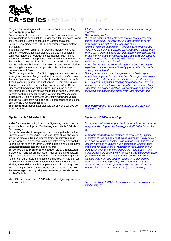

Für gute Baßwiedergabe ist ein weiterer Punkt sehr wichtig: **Der Dämpfungsfaktor.**

Darunter versteht man den Quotient aus Boxenimpedanz und Innenwiderstand der Endstufe. Je geringer der Innenwiderstand der Endstufe ist, umso höher ist der Dämpfungsfaktor. Beispiel: Boxenimpedanz 8 Ohm, Endstufeninnenwiderstand 0,04 Ohm.

8 geteilt durch 0,04 ergibt einen Dämpfungsfaktor von 200. Um die Wichtigkeit des Dämpfungsfaktors zu verdeutlichen, kann jeder folgenden Versuch selbst machen: Man nimmt einen ausgebauten Lautsprecher und klopft mit dem Finger auf die Membran. Die Membran gibt nach und es wird ein Ton hörbar. Schließt man beide Anschlußpole kurz und wiederholt den Versuch, gibt die Membran so gut wie nicht nach und es ist kaum etwas zu hören.

Die Erklärung ist einfach: Die Schwingspule des Lautsprechers bewegt sich in einem Magnetfeld, wirkt also wie ein Generator, der eine Spannung erzeugt. Schließt man die Pole kurz, muß diese Spannung gegen eine Last von ca. 0 Ohm erzeugt werden, wozu eine sehr hohe Leistung notwendig wäre. Diese Eigenschaft macht man sich zunutze, indem man den Innenwiderstand der Endstufe soweit wie möglich gegen 0 Ohm legt. So folgt der Lautsprecher nur dem verstärkten Wechselspannungssignal. Unkontrollierbares Überschwingen wird verhindert, da bei Eigenschwingungen der Lautsprecher gegen diese Last von ca. 0 Ohm arbeiten muß.

**Zeck-Endstufen** haben Dämpfungsfaktoren von über 200 bei 8 Ohm-Betrieb.

#### **Bipolar oder MOS-Fet-Technik**

In der Endstufentechnik gibt es zwei Systeme, die sich durchgesetzt haben: die **bipolar-Technologie** und die **MOS-Fet-Technologie.**

Bei der **bipolar-Technologie** wird die Leistung durch bipolare Endtransistoren erzeugt (npn- und pnp- Typen), welche wiederum durch bipolare Treiber- und Vortreibertransistoren angesteuert werden. In dieser Verstärkungskette werden sowohl die Spannung als auch der Strom verstärkt, das heißt, ein kleinerer Leistungstransistor steuert einen größeren.

Bei der **MOS-Fet-Technologie** erzeugen die Endtransistoren (Feldeffekt-Transistoren) den Strom, der zur Leistung notwendig ist (Leistung = Strom x Spannung). Die Ansteuerung dieser Fets erfolgt durch Spannung, also leistungslos. Im Klang unterscheiden sich diese beiden Systeme vor allem in der Höhenwiedergabe und der Durchsichtigkeit. Durch die leistungslose Ansteuerung ist der MOS-Fet-Transistor "schneller", das heißt, die Anstiegsgeschwindigkeit (Slew-Rate) ist größer als bei der bipolar-Technik.

Aber: Die herkömmliche MOS-Fet-Technik zeigt einige wesentliche Nachteile:

*A further point in connection with bass reproduction is very important:*

#### *The damping factor*

*This is the quotient of speaker impedance and internal resistance in the amp. The lower the internal resistance of the power amp is the higher is the damping factor.*

*Example: speaker impedance 8 Ohms, power amp internal resistance 0.04 Ohms. 8 divided 0.04 produces a damping factor of 200. In order to stress the importance of the damping factor anyone can make the following test: take a dismantled loudspeaker and tap the membrane with a finger. The membrane yields and a tone can be heard.* 

*If one short circuits the connecting terminal and repeats the experiment the membrane will hardly yield at all and virtually nothing can be heard.*

*The explanation is simple: the speaker´s oscillation spool moves in a magnetic field and functions like a generator which creates voltage. If one short circuits the terminal, the voltage must be created against a resisting load of about 0 Ohms so that the speaker only follows the amplified alternating voltage. Uncontrollable hyper-oscillation is prevented as self induced oscillation in the speaker is offset by 0 Ohm resisting load.*

*Zeck power amps have damping factors of over 200 at 8 Ohms operation.*

#### *Bipolar or MOS-Fet technology*

*Two systems of power amp technology have found success on today´s market: bipolar technology and MOS-Fet technology.*

*In bipolar technology performance is produced by bipolar transistors (types npn and pnp) which in turn are run by bipolar drive and pre-drive transistors. The voltage as well as the current are amplified in this chain of amplification which means that a smaller performance transistor drives a larger one. In MOS technology the terminal transistors (Field Effect Transistors) produce the current which is essential to the performance (performance= current x voltage).The sounds of these two systems differ from one another, above all in their trebles reproduction and transparency. The MOS-Fet transistor is faster because of the nonperformance drive and this means that the slew rate is greater than in bipolar technology.*

*But: conventional MOS-Fet technology reveals certain definite disadvantages:*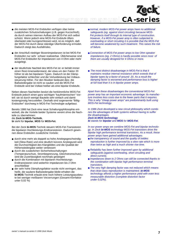

- die meisten MOS-Fet Endstufen verfügen über keine zusätzlichen Schutzschaltungen (z.B. gegen Kurzschluß), da durch seinen internen Aufbau der MOS-Fet sich selbst schützt. Wenn jedoch eine MOS-Fet Endstufe öfters überlastet oder kurzgeschlossen wird, ist es möglich, daß der MOS-Fet durch diese ständige Überforderung ermüdet. Dadurch steigt das Ausfallrisiko.
- der Anschluß niedriger Boxenimpedanzen ist bei MOS-Fet Endstufen nur sehr schwer realisierbar. Üblicherweise sind MOS-Fet Endstufen für Impedanzen von 4 Ohm oder mehr ausgelegt.
- der deutlichste Nachteil des MOS-Fet ist: er behält immer einen Rest-Innenwiderstand, der etwa um den Faktor 20 höher ist als bei bipolaren Typen. Dadurch ist der Dämpfungsfaktor schlechter und die Verlustleistung bei Vollaussteuerung höher. Für den Musiker bedeutet dies: die Baßwiedergabe ist nicht so sauber und die MOS-Fet Endstufe wird bei Vollast heißer als eine bipolar-Endstufe.

Neben diesen Nachteilen besitzt die herkömmliche MOS-Fet Endstufe jedoch einen ganz wichtigen "kaufmännischen" Vorteil: sie ist durch wenige Bauteile sehr einfach und damit kostengünstig herzustellen. Deshalb sind sogenannte "Billig-Endstufen" durchweg in MOS-Fet-Technologie aufgebaut.

Bereits 1986 hat Zeck eine neue Schaltungsphilosophie entwickelt, die die Vorteile beider Systeme vereint ohne die Nachteile zu übernehmen: die **Zeck bi-MOS-Technik.**

**bi** steht für **bipolar**, **MOS** für **MOS-Fet.**

Bei der Zeck **bi-MOS**-Technik steuern MOS-Fet-Transistoren die bipolaren Hochleistungs-Endtransistoren. Dadurch gewinnen diese Endstufen zusätzliche Vorteile:

- durch eine mehr als doppelt so hohe Anstiegsgeschwindigkeit (Slew-Rate) und eine deutlich kürzere Anstiegszeit wird die Durchsichtigkeit des Klangbildes und die Qualität der Höhenwiedergabe weiter verbessert
- durch die zusätzlichen Sicherheitsschaltungen (Temperaturschutz, Strombegrenzung, Gleichstromschutz) wird die Zuverlässigkeit nochmals gesteigert
- durch die Kombination mit bipolaren Hochleistungs-Endtransistoren sind weiterhin Impedanzen bis 2 Ohm anschließbar
- der sehr hohe Dämpfungsfaktor wurde nicht verringert, das heißt, die saubere Baßwiedergabe bleibt erhalten die **bi-MOS**-Technik erlaubt eine noch höhere Leistungsausbeute bei weniger meßbaren Verzerrungen (Gesamt-Klirrfaktor unter 0,02 %)
- *normal, modern MOS-Fet power amps have no additional safeguards (eg. against short circuiting) because MOS-Fet protects itself through its internal type of construction. However, if a MOS-Fet power amp is often subjected to overloading or short circuiting it is possible that the MOS-Fet will become weakened by such treatment. This raises the risk of failure.*
- *Connection of MOS-Fet power amps to low Ohm speaker impedances (eg. 2 Ohms) is hardly possible since most of them are usually designed for 4 Ohms or more.*
- *The most distinct disadvantage in MOS-Fet is that it maintains residue internal resistance which exeeds that of bipolar types by a factor of around 20. As a result the damping factor is worsened and performance loss is higher at full load than it is in bipolar power amps.*

*Apart from these disadvantages the conventional MOS-Fet power amp has an important economic advantage: its manufacture involves less costs due to the fewer parts that it requires. This is why "cheap power amps" are predominantly built using MOS-Fet technology.* 

*In 1986 Zeck developed a new circuit philosophy which combines the advantages of both systems without having to suffer the disadvantages. Zeck bi-MOS technology bi stands for bipolar and MOS for MOS-Fet.* 

*In our power amps we combine MOS-Fet and bipolar technology. In Zeck bi-MOS technology MOS-Fet transistors drive the bipolar high performance terminal transistors. As a result, these power amps have gained additional advantages:*

- *the transparency of sound and the quality of trebles reproduction is further improved by a slew rate which is more than twice as high and a much shorter rise time.*
- *Reliability has been further improved upon by additional safeguards (against overheating, short circuiting and direct current).*
- *Impedances down to 2 Ohms can still be connected thanks to the combination with bipolar high performance terminal transistors.*
- *The very high damping factor was not reduced which means that clean bass reproduction is maintainted. bi-MOS technology affords a higher performance yield with even less measurable distortion (complete distortion factor under 0,02%).*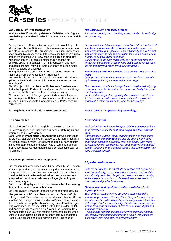# **CA-series owners manual**

#### **Das Zeck** dy loc**® Prozessorsystem**

ist eine weitere Entwicklung, die neue Maßstäbe in der Signalverarbeitung von Audio-Signalen im professionellen PA-Bereich setzt.

Bedingt durch die Konstruktion verfügen hart aufgehängte Musikerlautsprecher im Baßbereich über **weniger Auslenkungshub** als vergleichbare Hifi-Lautsprecher. Dies liegt im wesentlichen an der Tatsache, daß im Interesse eines hohen Wirkungsgrades Magnetspalt und Schwingspule gleich lang sind. Bei Auslenkungen im Baßbereich befindet sich sodann die Schwing-spule nur noch zum Teil im Magnetspalt und kann dadurch nicht mehr mit voller Kraft auf den theoretisch möglichen Hub ausgelenkt werden.

Es ergeben sich hierdurch **nicht lineare Verzerrungen** im Klang-spektrum der abgestrahlten Tiefbässe.

Nun wird häufig versucht, durch starke Anhebung der Klangregelung im Baßbereich diese nicht linearen Verzerrungen zu "übertönen".

Dies führt jedoch in der Regel zu Problemen - überlastete und dadurch clippende Endverstärker können zunächst das Klangbild und schließlich auch die Lautsprecher zerstören.

Wir haben nun nach Lösungen gesucht, diese nicht linearen Verzerrungen im Baßbereich zu erkennen, elektronisch auszugleichen und das gesamte Klangverhalten im Baßbereich zu verbessern.

**das Ergebnis: die Zeck** dy loc**® Prozessortechnik.**

#### **1.Klangverhalten**

Die Zeck dy loc®-Technik ermöglicht es, die nicht linearen Baßverzerrungen in der Box schon **in der Entstehung zu analysieren und zu korrigieren.**

Dabei werden **Phasenlage und Amplitude** soweit kompensativ ergänzt, daß sich ein extrem sauberes und klares Klangbild im Tiefbaßbereich ergibt. Die Baßwiedergabe ist sehr deutlich mit gutem Baßvolumen und sattem Klang. Wummernde oder dröhnende Bässe werden durch dieses Schaltungskonzept völlig eliminiert.

#### **2.Belastungsspektrum der Lautsprecher**

Die Phasen- und Amplitudenkorrektur der Zeck dy loc®-Technik arbeitet **dynamisch**, d.h. es wird ständig der momentane Belastungszustand des Lautsprechers überwacht. Die Amplitudenkorrektur ist dem tolerierten Maximalhub des Lautsprechers unterstellt und wird mit zunehmenden Pegel gleitend dynamisch ausgeregelt.

#### Durch dieses Regelsystem wird eine **thermische Überlastung des Lautsprechers ausgeschlossen.**

Die Zeck dy loc® -Schaltung ist technisch so realisiert, daß die Klangkorrektur im hörbaren Bereich zwischen 30 und 80 Hz vollzogen wird. Tiefere Frequenzen werden nicht beeinflußt, um unnötige Belastungen im nicht hörbaren Bereich zu vermeiden. Je Kanal ist eine doppelte Überwachungs- und Korrekturregelung vorhanden, bei welcher intelligente Filter aus der Digitalund Analogschaltungstechnik zur Anwendung kommen. Das Ausgangssignal zur Box wird ständig gemessen, digital umgesetzt und über digitale Regelkreise behandelt. Die gesamten Regelkreise arbeiten dadurch extrem schnell und sauber.

#### *The Zeck* dy loc*® processor system*

*is annother development, creating a new standard in audio signal processing.*

*Because of their stiff anchoring construction, PA and instrument speakers produce less thrust movement in the bass range than comparable hi-fi speakers. This is basically due to the fact that the magnet ring slot and oscillator coil are the same length in order to achieve higher effectivity.* 

*During thrust in the bass range only part of the oscillator coil remains in the ring slot which means that it can no longer reach the theoretically maximum thrust with full power.* 

*Non-linear distortion in the deep bass sound spectrum is the result.*

*Attempts are often made to cover up such non-linear distortion by increasing the EQ strongly in the bass range.* 

*This, however, usually leads to problems - overloaded, clipping power amps can firstly destroy the sound and finally the speakers themselves.*

*We looked for ways of recognizing the non-linear distortion in the bass range in order to even them out electronically and improve the whole sound behavior in the bass range.*

*Result: Zeck* dy loc*® processing technology.*

#### *1.Sound behavior*

*Zeck* dy loc*® technology make it possible to analyse non-linear bass distortion in speakers at their origin and then correct them.*

*Compensation is achieved by supplementing and thus improving phasing and amplitude so that the sound in the deep bass range becomes extremely clear and clean. Bass reproduction becomes very distinct, with good bass volume and full sound. Throbbing or droning basses are fully eliminated by this special design concept.*

#### *2.Speaker load spectrum*

*Zeck* dy loc*® phase and amplitude correction technology functions dynamically, i.e. the momentary speaker load condition is continually controlled. Amplitude correction is set according to the speaker´s maximum tolerable thrust movement and continually and gradually regulated.* 

#### *Thermic overloading of the speaker is ruled out by this regulating system.*

*Zeck* Dy loc*® system carries out sound correction in the audible range between 30 and 80 Hz. Deeper frequencies are not influenced in order to avoid unnecessary strain in the inaudible range. Each channel is subject to double control and correction by means of intelligent filters to be found in digital and analogue technology.*

*The outgoing signal to the speaker unit is continually measured, digitally transformed and treated by digital regulation circuits which work extremely quickly and cleany.*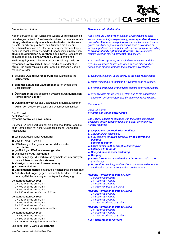

#### **Dynamischer Limiter**

Neben der Zeck dy loc® -Schaltung, welche völlig eigenständig das Klangverhalten im Bassbereich optimiert, kommt ein **unabhängig arbeitender dynamisch kontrollierter Limiter** zum Einsatz. Er erkennt pro Kanal das Auftreten nicht linearer Betriebszustände wie z.B. Übersteuerung oder falsche Impedanz und regelt entsprechend das Eingangssignal nach einem **akustisch optimierten Algorithmus** aus. Diese Regelung ist so aufgebaut, daß **keine Dynamik-Verluste** entstehen. Beide Regelsysteme - die Zeck dy loc® -Schaltung sowie der **dynamisch kontrollierte Limiter** - sind aufeinander abgestimmt und ergänzen sich in der Form, daß folgende Vorteile realisiert wurden:

- deutliche **Qualitätsverbesserung** des Klangbildes im **Baßbereich**
- **erhöhter Schutz der Lautsprecher** durch dynamische Basskorrektur
- **Überlastschutz** des gesamten Systems durch **dynamisch kontrollierten Limiter**
- **Dynamikgewinn** für das Gesamtsystem durch Zusammenwirken von dy loc® -Schaltung und dynamischem Limiter

#### Das Produkt: **Zeck CA-Serie dynamic controlled power amps**

Die Zeck CA-Serie verfügt über die oben erläuterten Regelkreise in Kombination mit hoher Ausgangsleistung. Die weitere Ausstattung:

- temperaturgesteuerter **Axiallüfter**
- Zeck bi MOS®-Technik
- LED-Anzeigen für **dyloc contour**, **dyloc control**, **dyn. Limiter**
- großflächige **LED-Aussteuerungszeilen**
- symmetrische **XLR-Eingänge**
- Klinkeneingänge**, die wahlweise** symmetrisch **oder** unsymmetrisch **benutzt werden können**
- **Verzögerte Lautsprecherzuschaltung**
- **Brückenschaltung**
- $\bullet$  überdimensioniertes extrahartes Netzteil mit Ringkerntrafo
- **Schutzschaltungen** gegen Kurzschluß, Leerlauf, Übertemperatur, Gleichspannung am Lautsprecher-Ausgang

#### **Leistungsdaten CA 800:**

- 2 x 230 W sinus an 8 Ohm
- 2 x 400 W sinus an 4 Ohm
- 2 x 500 W sinus an 2 Ohm
- 1 x 880 W sinus gebrückt an 8 Ohm

#### **Leistungsdaten CA 1000:**

- 2 x 280 W sinus an 8 Ohm
- 2 x 500 W sinus an 4 Ohm
- 2 x 620 W sinus an 2 Ohm
- 1 x 1100 W sinus gebrückt an 8 Ohm

#### **Leistungsdaten CA 1600:**

- 2 x 460 W sinus an 8 Ohm
- 2 x 800 W sinus an 4 Ohm
- 1 x 1600 W sinus gebrückt an 8 Ohm

#### und außerdem: **2 Jahre Vollgarantie**

*Apart from the Zeck* dy loc*® system, which optimises bass sound behavior fully independantly, an independant dynamic controlled limiter is also put to work. In each channel it recognizes non-linear operating conditions such as overload or wrong impedances and regulates the incoming signal according to an acoustically optimised algorithm. This regulation system is set so that no dynamic loss occurs.* 

*Both regulation systems, the Zeck* dy loc*® systems and the dynamic controlled limiter, are tuned to each other and enhance each other to produce the following advantages:*

- *clear improvement in the quality of the bass range sound*
- *improved speaker protection by dynamic bass correction.*
- *overload protection for the whole system by dynamic limiter*
- *dynamic gain for the whole system due to the cooperative effects of* dy loc*® system and dynamic controlled limiting.*

#### *The product:*

#### *Zeck CA-series dynamic controlled power amps*

*The Zeck CA series is equipped with the regulation circuits described above, together with high output performance. Further features:*

- *temperature controlled axial ventilator*
- *Zeck bi-MOS® technology*
- *LED displays for dyloc contour, dyloc control and dynamic*
- *controlled limiter*
- *Large format LED bargraph output displays*
- *balanced XLR inputs*
- *Delayed time speaker switching*
- *Bridging*
- *Large format, extra hard mains adaptor with radial core transformer*
- **Protection** switching against shorts, unconnected operation, *overheating, direct current at the speaker output.*

#### *Nominal Performance data CA 800:*

- *2 x 230 W at 8 Ohms*
- *2 x 400 W at 4 Ohms*
- *2 x 500 W at 2 Ohms*
- *1 x 880 W bridged at 8 Ohms*

#### *Nominal Performance data CA 1000:*

- *2 x 280 W at 8 Ohms*
- *2 x 500 W at 4 Ohms*
- *2 x 620 W at 2 Ohms*
- *1 x 1100 W bridged at 8 Ohms*

#### *Nominal Performance data CA 1600:*

- *2 x 460 W at 8 Ohms*
- *2 x 800 W at 4 Ohms*
- *1 x 1600 W bridged at 8 Ohms*

#### *Fully guaranteed for 2 years*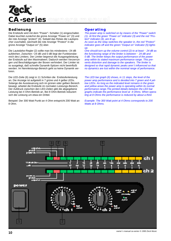# **Series** owners manual

### **Bedienung**

Die Endstufe wird mit dem "Power"- Schalter (1) eingeschaltet. Dabei leuchtet zunächst die grüne Anzeige "Power on" (3) und die rote Anzeige "protect" (4). Sobald das Relais die Lautsprecher zuschaltet, wechselt die rote Anzeige "Protect" in die grüne Anzeige "Output on" (5) über.

Die Lautstärke-Regler (2) sollte man bis mindestens - 24 dB aufdrehen. Zwischen \_ 24 dB und 0 dB liegt der Funktionsbereich des Limiters. Der Limiter begrenzt die Ausgangsleistung der Endstufe auf den Maximalwert. Dadurch werden Verzerrungen und Beschädigungen der Boxen verhindert. Der Limiter ist so ausgelegt, daß schnelle Dynamik-Spitzen nicht beeinflußt werden. Im Nennleistungs-Bereich geht so keine Dynamik verloren.

Die LED-Zeile (6) zeigt in 11 Schritten die Endstufenleistung an. Die Anzeige ist aufgeteilt in 7 grüne und 4 gelbe LEDs. Solange die Aussteuerung sich im grünen oder gelben Bereich bewegt, arbeitet die Endstufe im normalen Leistungs-Bereich. Der Aufdruck zwischen den LED-Zeilen gibt die abgegebene Leistung bei 4 Ohm-Betrieb an. Bei 8 Ohm-Betrieb reduziert sich die Leistung um etwa ein Drittel.

Beispiel: Der 300 Watt Punkt an 4 Ohm entspricht 200 Watt an 8 Ohm.

### **Operating**

*The power amp is switched on by means of the "Power" switch (1). At first the green "Power on" indicator (3) and the red "Protect" indicator (4), are lit up.*

*As soon as the relay switches the speaker in, the red "Protect" indicator goes off and the green "Output on" indicator (5) lights up.*

*One should turn up the volume control (2) to at least – 24 dB as the functioning range of the limiter is between \_ 24 dB and 0 dB. The limiter keeps the output performance of the power amp within its stated maximum performance range. This prevents distortion and damage to the speakers. The limiter is designed so that rapid dynamic peaks aren´t influenced so that no dynamics are lost within the nominal range of performance.*

*The LED bar graph (6) shows, in 11 steps, the level of the power amp performance and is devided into 7 green and 4 yellow LEDs. As long as the indicated level remains in the green and yellow areas the power amp is operating within its normal performance range.The printed details between the LED bar graphs indicate the performance level at 4 Ohms. When operating at 8 Ohms the performance is reduced by about a third.*

*Example: The 300 Watt point at 4 Ohms corresponds to 200 Watts at 8 Ohms.*



**10** *owner`s manual ca-series © 1990 Zeck Music*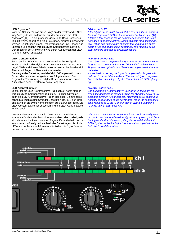

#### **LED "dyloc on"**

Wird der Schalter "dyloc processing" an der Rückwand in Stellung "on" gedrückt, so leuchtet auf der Frontseite die LED "dyloc on" (10). Bis die prozessorgesteuerte Bass-Kompensation aktiv wird, dauert es einige Sekunden. Während dieser Zeit werden Belastungszustand, Pegelverhältnisse und Phasenlage überprüft und sodann wird die dyloc-Kompensation aktiviert. Der Zeitpunkt der Aktivierung wird durch Aufleuchten der LED "Contour active" angezeigt.

#### **LED "Contour active"**

So lange die LED "Contour active" (8) mit voller Helligkeit leuchtet, arbeitet die "dyloc"-Bass-Kompensation mit Maximalpegel. Während dieses Arbeitsbereichs werden im Bassbereich Phase und Pegel mit Nennwert kompensiert.

Bei steigender Belastung wird die "dyloc"-Kompensation zum Schutz der Lautsprecher gleitend zurückgenommen. Der Beginn der Reduzierung der dyloc-Kompensation wird durch Aufleuchten der LED "Control active" angezeigt.

#### **LED "Control active"**

Je stärker die LED "Control active" (9) leuchtet, desto stärker wird die dyloc-Kompensation reduziert. Gleichzeitig verliert auch die LED "Controur active" (8) an Helligkeit. Beim theoretischen Maximalleistungswert der Endstufe = 100 % Sinus-Dauerleistung ist die dyloc-Kompensation auf 0 zurückgeregelt. Die LED "Contour active" ist erloschen und die LED "Control active" leuchtet voll.

Dieser Belastungszustand mit 100 % Sinus-Dauerleistung kommt natürlich in der Praxis kaum vor, denn alle Musiksignale sind dynamisch mit wechselnden Pegeln. Es ist deshalb durchaus normal, daß aufgrund wechselnder Belastungen die Limit-LEDs kurz aufleuchten können und trotzdem die "dyloc"-Kompensation noch teilaktiviert ist.

#### *"dyloc on " LED*

*If the "dyloc processing" switch at the rear is in the on position then the "dyloc on" LED on the front panel will also be lit (10). It takes a few seconds for the computer controlled bass compensation to become active. During this time load conditions, level ratios and phasing are checked through and the appropriate dyloc compensation is computed. The "contour active" LED lights up as soon as activation occurs.*

#### *"Contour active" LED*

*The "dyloc" bass compensation operates at maximum level as long as the "Contour active" LED (8) is fully lit. Within this working range, bass phasing and level are compensated at nominal value.*

*As the load increases, the "dyloc" compensation is gradually reduced to protect the speakers. The start of dyloc compensation reduction is displayed by the "Control active" LED lighting up.*

#### *"Control active" LED*

*The brighter the "Control active" LED (9) is lit, the more the dyloc compensation is reduced, while the "Contour active" LED becomes dimmer. At a theoretical maximum 100% continuous nominal performance of the power amp, the dyloc compensation is reduced to 0: the "Contour active" LED is out and the "Control active" LED is fully lit.*

*Of course, such a 100% continuous load condition hardly ever occurs in practice as all musical signals are dynamic, with fluctuating levels. For this reason, it's quite normal that the limit LEDs light up while the "dyloc" compensation is partially activated, due to load fluctuation.*



#### **11** *owner`s manual ca-series © 1990 Zeck Music*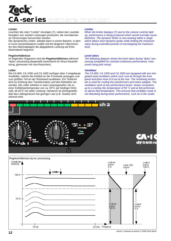

#### **Limiter**

Leuchten die roten "Limiter"-Anzeigen (7), neben den Lautstärkereglern auf, werden Leistungen produziert, die normalerweise Verzerrungen hervorrufen würden.

Der dynamische Limiter arbeitet dann in einem Bereich, in dem er kurze Dynamikspitzen zuläßt und bei längerem Überschreiten des Maximalpegels die abgegebene Leistung auf ihren Maximalwert begrenzt.

#### **Pegelverhältnisse**

Im folgenden Diagramm sind die **Pegelverhältnisse** während "dyloc"-processing dargestellt (vereinfacht für Sinus-Dauerleistung, gemessen mit rosa Rauschen)

#### **Lüfter**

Die CA 800, CA 1000 und CA 1600 verfügen über 2 eingebaute Axiallüfter, welche die Kühlluft an der Frontseite ansaugen und zum größten Teil an der Rückwand ausblasen. Ein Teilstrom wird zur Kühlung des Transformators und des Netzteiles verwendet. Die Lüfter arbeiten in zwei Leistungsstufen: bis zu einer Kühlkörpertemperatur von ca. 50°C auf niedriger Drehzahl, ab 50°C mit voller Leistung. Hierdurch ist sichergestellt, daß das Lüftergeräusch bei geringer Last (z.B. Studio) nicht störend wirkt.

#### *Limiter*

*When the limiter displays (7) next to the volume controls light up, performance is being produced which would normally cause distortion. The dynamic limiter is now working within a range which allows short dynamic peaks while limiting the maximum value during extended periods of overstepping the maximum level.*

#### *Level ratios*

*The following diagram shows the level ratios during "dyloc" processing (simplified for nominal continuous performance, measured using pink noise).*

#### *Ventilator*

*The CA 800, CA 1000 and CA 1600 are equipped with two integrated axial ventilators which suck cool air through the front panel and blow most of it out at the rear. The remaining airstream is used for cooling the transformers and mains adaptor. The ventilators work at two performance levels: slower revolutions up to a cooling ribs temperature of 50 °C and at full performance above that temperature. This ensures that ventilator noise is not disturbing during lower performance, such as in the studio.*



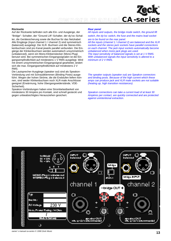

#### **Rückseite**

Auf der Rückseite befinden sich alle Ein- und Ausgänge, der "Bridge"- Schalter, der "Ground Lift"-Schalter, der dy loc-Schalter, die Gerätesicherung sowie die Buchse für das Netzkabel. Alle Eingänge (Input channel 1 / channel 2) sind symmetrisch (balanced) ausgelegt. Die XLR- Buchsen und die Stereo-Klinkenbuchsen sind pro Kanal jeweils parallel verbunden. Die Eingänge der Klinkenbuchsen werden automatisch unsymmetrisch (unbalanced), wenn ein Mono-Klinkenstecker (Mono-Plug) benutzt wird. Bei symmetrischen Eingangssignalen ist die Eingangsempfindlichkeit auf mindestens 1 V RMS ausgelegt. Wird mit einem unsymmetrischen Eingangssignal gearbeitet, ändert sich die max. Eingangsempfindlichkeit auf mindestens 2 V RMS.

Die Lautsprecher-Ausgänge (speaker out) sind als Speakon-Verbindung und mit Schraubklemmen (Binding Posts) ausgeführt. Wegen der hohen Ströme, die die Endstufen liefern können, sind weder Klinkenbuchsen noch XLR-male Anschlüsse geeignet (Erwärmung, hohe Übergangswiderstände, VDE-Sicherheit).

Speakon-Verbindungen haben eine Strombelastbarkeit von mindestens 30 Ampère pro Kontakt, sind schnell gesteckt und gegen unbeabsichtigtes Herausziehen gesichert.

#### *Rear panel*

*All inputs and outputs, the bridge mode switch, the ground lift switch, the* dy loc *switch, the fuse and the mains lead socket are to be found on the rear panel.*

*All the inputs (channel 1 / channel 2) are balanced and the XLR sockets and the stereo jack sockets have parallel connections on each channel. The jack input sockets automatically become unbalanced when mono jack plugs are used.*

*The input sensitivity of balanced signals is set at 1 V RMS. With unbalanced signals the input sensitivity is altered to a minimum of 2 V RMS.*

*The speaker outputs (speaker out) are Speakon connectors and binding posts. Because of the high current which these amps can produce jack and XLR male sockets are not suitable (heating up, high transition resistances).*

*Speakon connections can take a current load of at least 30 Ampères per contact, are quickly connected and are protected against unintentional extraction.*



**13** *owner`s manual ca-series © 1990 Zeck Music*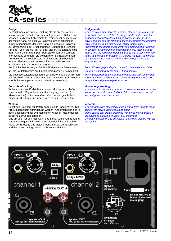# **Series** owners manual

#### **Bridge**

Benötigt man eine höhere Leistung als die Stereo-Nennleistung, so kann man die Endstufe auf gebrückten Betrieb umschalten. In diesem Falle verstärkt **\_** vereinfacht ausgedrückt**\_** der rechte Kanal die positive Halbwelle des Wechselspannungs-Musiksignals, der linke Kanal die negative Halbwelle. Zur Umschaltung auf Brückenbetrieb (Bridge) den Schalter ("bridge") von "Stereo" auf "Bridge" stellen. Als Eingang muß dann Kanal 2 ("Bridge Input") benutzt werden. Als Lautsprecherausgang sind dann die beiden roten Schraubklemmen ("Bridge Out") in Betrieb. Zur Vereinfachung sind bei den Schraubklemmen die Kontakte mit + und - bezeichnet. + bedeutet "Life", **\_** bedeutet "Ground".

Bei Brückenbetrieb zeigen beide LED-Zeilen die Aussteuerung an, die Lautstärke wird am Lautstärkeregler "ch 2" eingestellt. Die optimale Leistungsausbeute bei Brückenbetrieb erhält man bei Anschluß eines 8 Ohm-Lautsprechersystems. Bei kleineren oder höheren Impedanzen sinkt die Brückenleistung.

#### **Endstufen-Stacking**

Will man mehrere Endstufen an einem Mischer anschließen, kann man das Signal über eine der Eingangsbuchsen (z.B. Klinkenbuchse) zuführen und aus dem parallel geschalteten Eingang (XLR-female) zur nächsten Endstufe weiterleiten.

#### **Wichtig!**

Endstufen-Stacking mit Patch-Kabeln sollte unbedingt mit **Stereo**-Klinkenkabeln durchgeführt werden. Andernfalls kann es je nach Beschaltung der symmetrischen Mischer-Ausgangsbuchse zu Verzerrungen kommen.

Das gilt auch für den Fall, wenn das Signal von einem Eingang zun anderen geschleift wird, wenn also der linke und rechte Kanal der Endstufe das gleiche Mono-Signal verstärken sollen und die Option "Bridge-Mode" nicht verwendet wird.

#### *Bridge mode*

*If one requires more than the nominal stereo performance the power amp can be switched to bridge mode. In this case the right hand channel (putting it simply) amplifies the positive wave segment and the left hand channel amplifies the negative wave segment in the alternating voltage of the signal. Switching to the bridge mode involves switching from "Stereo" to "Bridge". Channel 2 then becomes the only input ("Bridge Input") and the red binding posts ("Bridge Out") come into operation as the speaker outputs. To simplify matters, the binding post contacts are marked with + and \_ . + equals live and \_ equals ground.*

*Both LED bar graphs display the performance level and the volume is adjusted by the "*ch 2*" hand control. Maximum performance at bridge mode is achieved by connecting an 8 Ohm speaker system. Lower or higher impedances reduce the bridge mode performance.*

#### *Power amp stacking*

*If one wants to connect a number of power amps to a mixer the signal can be further directed out of the parallel input and into the next power amp and so on.*

#### *Important!*

*If power amps are stacked by linking signal from input to input, cables with stereo jacks should be used. Mono-cables can create problems with some mixing desks if the balanced outputs are used (e.g. distortion). Connecting channel 1 to channel 2 you should also do with stereo cables.*



**14** *owner`s manual ca-series © 1990 Zeck Music*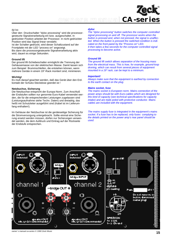

#### dy loc

Über den Druckschalter "dyloc processing" wird die processorgesteurte Signalverarbeitung ein bzw. ausgeschaltet. In gedrückter Position arbeitet der Processor. In nicht gedrückter Position wird das Signal linear verstärkt.

Ist der Schalter gedrückt, wird dieser Schaltzustand auf der Frontplatte mit der LED "process on" angezeigt. Bis dann die processorgesteuerte Signalverarbeitung aktiv wird, dauert es einige Sekunden.

#### **Ground lift**

Der ground lift-Schiebeschalter ermöglicht die Trennung der Gehäusemasse von der elektrischen Masse. Damit lassen sich zum Beispiel Brummschleifen, die entstehen können, wenn mehrere Geräte in einem 19"-Rack montiert sind, minimieren.

#### **Wichtig!**

Es muß darauf geachtet werden, daß das Gerät über den Erdkontakt der Schuko-Steckdose geerdet ist !

#### **Netzbuchse, Sicherung**

Die Netzbuchse entspricht der Europa-Norm. Zum Anschluß der Endstufen sollten nur genormte Euro-Kabel verwendet werden, die für die entsprechenden Leistungen zugelassen sind (Leistungsaufnahme siehe Techn. Daten) und dreiadrig, das heißt mit Schutzleiter ausgeführt sind (Kabel ist im Lieferumfang enthalten!).

Im Gehäuse der Netzbuchse ist die geräteseitige Sicherung für die Stromversorgung untergebracht. Sollte einmal eine Sicherung ersetzt werden müssen, dürfen nur Sicherungen verwendet werden, die dem Aufdruck und Eintrag auf der Rückseite der Endstufe entsprechen.

#### *dyloc*

*The "dyloc processing" button switches the computer controlled signal processing on and off. The processor works when the button is pressed and, when not pressed, the signal is unaffected. When the button is pressed the switched condition is indicated on the front panel by the "Process on" LED. It then takes a few seconds for the computer controlled signal processing to become active.*

#### *Ground lift*

*The ground lift switch allows separation of the housing mass from the electrical mass. This is how, for example, ground-loop droning, which can result from several pieces of equipment mounted in a 19" rack, can be kept to a minimum.*

#### *Important!*

*Always make sure that the equipment is earthed by connection to the earth contact on the plug.*

#### *Mains socket, fuse*

*The mains socket is Europeen norm. Mains connection of the power amps should be with Euro-cables which are designed for this kind of capacity (see technical specifications for capacity intake) and are triple poled with protective conductor. Mains cables are included with the equipment.*

*The mains supply fuse is integrated in the equipment's mains socket. If a fuse has to be replaced, only fuses complying to the details printed on the power amp's rear panel should be used.*

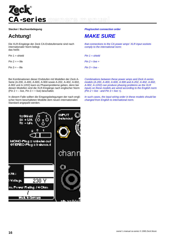

#### **Stecker / Buchsenbelegung**

# **Achtung!**

Die XLR-Eingänge der Zeck CA-Endstufenserie sind nach internationaler Norm belegt. das heißt:

Pin  $1 =$  shield

Pin  $2 = +$  life

Pin  $3 = -$  life

Bei Kombinationen dieser Endstufen mit Modellen der Zeck A-Serie (A-200, A-400, A-600, A-900 sowie A-202, A-402, A-602, A-902 und A-1202) kann es Phasenprobleme geben, denn bei diesen Modellen sind die XLR-Eingänge nach englischer Norm (Pin  $2 = -$  live, Pin  $3 = +$  live) beschaltet.

In diesem Falle sollten die Eingangsbelegungen der nach englischer Norm beschalteten Modelle dem neuen internationalen Standard angepaßt werden.

#### *Plug/socket connection order*

# **MAKE SURE**

*that connections to the CA power amps' XLR input sockets comply to the international norm:*

*Pin 1 = shield Pin 2 = live +*

*Pin 3 = live -*

*Combinations between these power amps and Zeck A-series models (A-200, A-400, A-600, A-900 and A-202, A-402, A-602, A-902, A-1202) can produce phasing problems as the XLR inputs on these models are wired according to the English norm*  $(\overline{Pin} 2 = live - and Pin 3 = live +).$ 

*In such cases, the input wiring order in these models should be changed from English to international norm.*